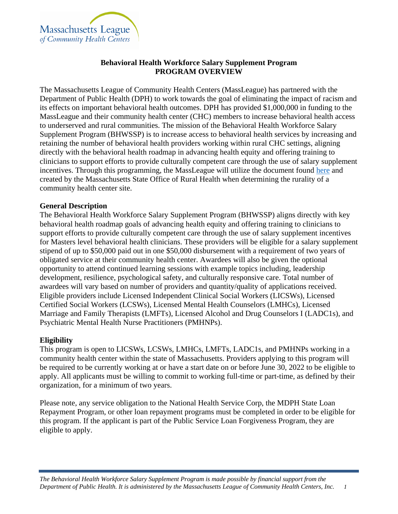

# **Behavioral Health Workforce Salary Supplement Program PROGRAM OVERVIEW**

The Massachusetts League of Community Health Centers (MassLeague) has partnered with the Department of Public Health (DPH) to work towards the goal of eliminating the impact of racism and its effects on important behavioral health outcomes. DPH has provided \$1,000,000 in funding to the MassLeague and their community health center (CHC) members to increase behavioral health access to underserved and rural communities. The mission of the Behavioral Health Workforce Salary Supplement Program (BHWSSP) is to increase access to behavioral health services by increasing and retaining the number of behavioral health providers working within rural CHC settings, aligning directly with the behavioral health roadmap in advancing health equity and offering training to clinicians to support efforts to provide culturally competent care through the use of salary supplement incentives. Through this programming, the MassLeague will utilize the document found [here](https://www.mass.gov/doc/massachusetts-rural-towns-list/download) and created by the Massachusetts State Office of Rural Health when determining the rurality of a community health center site.

### **General Description**

The Behavioral Health Workforce Salary Supplement Program (BHWSSP) aligns directly with key behavioral health roadmap goals of advancing health equity and offering training to clinicians to support efforts to provide culturally competent care through the use of salary supplement incentives for Masters level behavioral health clinicians. These providers will be eligible for a salary supplement stipend of up to \$50,000 paid out in one \$50,000 disbursement with a requirement of two years of obligated service at their community health center. Awardees will also be given the optional opportunity to attend continued learning sessions with example topics including, leadership development, resilience, psychological safety, and culturally responsive care. Total number of awardees will vary based on number of providers and quantity/quality of applications received. Eligible providers include Licensed Independent Clinical Social Workers (LICSWs), Licensed Certified Social Workers (LCSWs), Licensed Mental Health Counselors (LMHCs), Licensed Marriage and Family Therapists (LMFTs), Licensed Alcohol and Drug Counselors I (LADC1s), and Psychiatric Mental Health Nurse Practitioners (PMHNPs).

### **Eligibility**

This program is open to LICSWs, LCSWs, LMHCs, LMFTs, LADC1s, and PMHNPs working in a community health center within the state of Massachusetts. Providers applying to this program will be required to be currently working at or have a start date on or before June 30, 2022 to be eligible to apply. All applicants must be willing to commit to working full-time or part-time, as defined by their organization, for a minimum of two years.

Please note, any service obligation to the National Health Service Corp, the MDPH State Loan Repayment Program, or other loan repayment programs must be completed in order to be eligible for this program. If the applicant is part of the Public Service Loan Forgiveness Program, they are eligible to apply.

*The Behavioral Health Workforce Salary Supplement Program is made possible by financial support from the* Department of Public Health. It is administered by the Massachusetts League of Community Health Centers, Inc. 1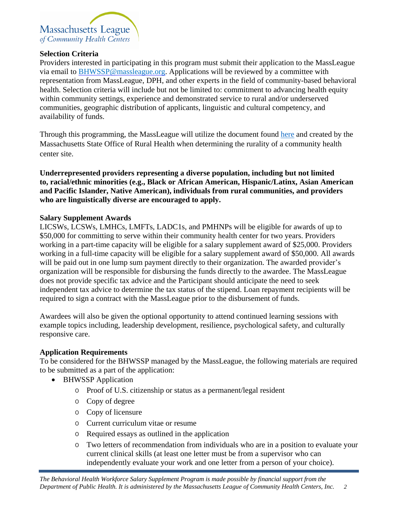

### **Selection Criteria**

Providers interested in participating in this program must submit their application to the MassLeague via email to [BHWSSP@massleague.org.](mailto:StatewideInvestments@massleague.org) Applications will be reviewed by a committee with representation from MassLeague, DPH, and other experts in the field of community-based behavioral health. Selection criteria will include but not be limited to: commitment to advancing health equity within community settings, experience and demonstrated service to rural and/or underserved communities, geographic distribution of applicants, linguistic and cultural competency, and availability of funds.

Through this programming, the MassLeague will utilize the document found [here](https://www.mass.gov/doc/massachusetts-rural-towns-list/download) and created by the Massachusetts State Office of Rural Health when determining the rurality of a community health center site.

**Underrepresented providers representing a diverse population, including but not limited to, racial/ethnic minorities (e.g., Black or African American, Hispanic/Latinx, Asian American and Pacific Islander, Native American), individuals from rural communities, and providers who are linguistically diverse are encouraged to apply.**

## **Salary Supplement Awards**

LICSWs, LCSWs, LMHCs, LMFTs, LADC1s, and PMHNPs will be eligible for awards of up to \$50,000 for committing to serve within their community health center for two years. Providers working in a part-time capacity will be eligible for a salary supplement award of \$25,000. Providers working in a full-time capacity will be eligible for a salary supplement award of \$50,000. All awards will be paid out in one lump sum payment directly to their organization. The awarded provider's organization will be responsible for disbursing the funds directly to the awardee. The MassLeague does not provide specific tax advice and the Participant should anticipate the need to seek independent tax advice to determine the tax status of the stipend. Loan repayment recipients will be required to sign a contract with the MassLeague prior to the disbursement of funds.

Awardees will also be given the optional opportunity to attend continued learning sessions with example topics including, leadership development, resilience, psychological safety, and culturally responsive care.

### **Application Requirements**

To be considered for the BHWSSP managed by the MassLeague, the following materials are required to be submitted as a part of the application:

- BHWSSP Application
	- o Proof of U.S. citizenship or status as a permanent/legal resident
	- o Copy of degree
	- o Copy of licensure
	- o Current curriculum vitae or resume
	- o Required essays as outlined in the application
	- o Two letters of recommendation from individuals who are in a position to evaluate your current clinical skills (at least one letter must be from a supervisor who can independently evaluate your work and one letter from a person of your choice).